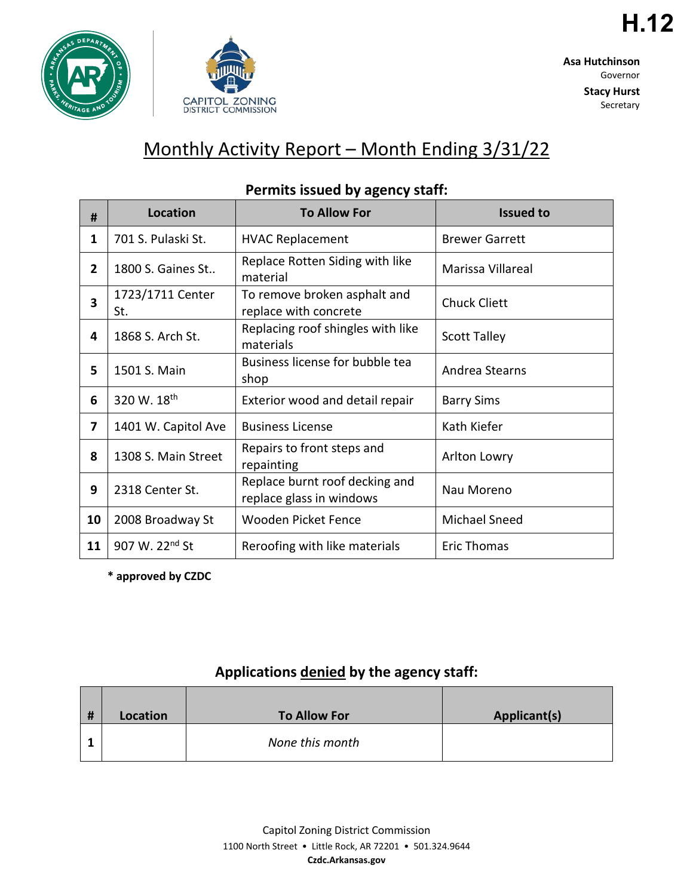



**H.12**

**Stacy Hurst** Secretary

# Monthly Activity Report – Month Ending 3/31/22

| #  | <b>Location</b>            | <b>To Allow For</b>                                        | <b>Issued to</b>      |
|----|----------------------------|------------------------------------------------------------|-----------------------|
| 1  | 701 S. Pulaski St.         | <b>HVAC Replacement</b>                                    | <b>Brewer Garrett</b> |
| 2  | 1800 S. Gaines St          | Replace Rotten Siding with like<br>material                | Marissa Villareal     |
| 3  | 1723/1711 Center<br>St.    | To remove broken asphalt and<br>replace with concrete      | <b>Chuck Cliett</b>   |
| 4  | 1868 S. Arch St.           | Replacing roof shingles with like<br>materials             | <b>Scott Talley</b>   |
| 5  | 1501 S. Main               | Business license for bubble tea<br>shop                    | Andrea Stearns        |
| 6  | 320 W. 18th                | Exterior wood and detail repair                            | <b>Barry Sims</b>     |
| 7  | 1401 W. Capitol Ave        | <b>Business License</b>                                    | Kath Kiefer           |
| 8  | 1308 S. Main Street        | Repairs to front steps and<br>repainting                   | Arlton Lowry          |
| 9  | 2318 Center St.            | Replace burnt roof decking and<br>replace glass in windows | Nau Moreno            |
| 10 | 2008 Broadway St           | <b>Wooden Picket Fence</b>                                 | Michael Sneed         |
| 11 | 907 W. 22 <sup>nd</sup> St | Reroofing with like materials                              | <b>Eric Thomas</b>    |

## **Permits issued by agency staff:**

**\* approved by CZDC**

## **Applications denied by the agency staff:**

| # | Location | <b>To Allow For</b> | Applicant(s) |
|---|----------|---------------------|--------------|
|   |          | None this month     |              |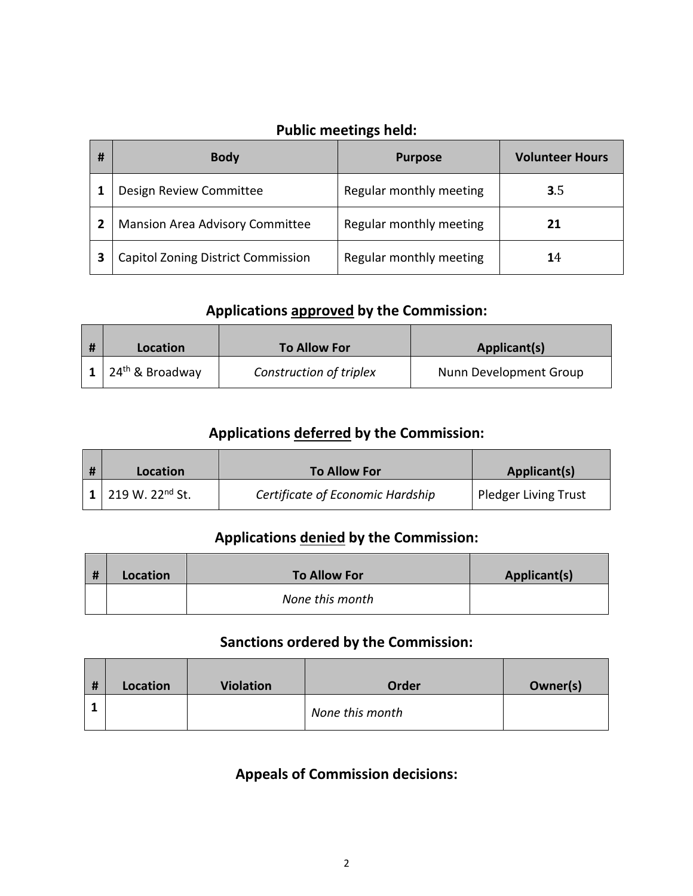## **Public meetings held:**

| # | <b>Body</b>                               | <b>Purpose</b>          | <b>Volunteer Hours</b> |
|---|-------------------------------------------|-------------------------|------------------------|
|   | Design Review Committee                   | Regular monthly meeting | 3.5                    |
|   | <b>Mansion Area Advisory Committee</b>    | Regular monthly meeting | 21                     |
|   | <b>Capitol Zoning District Commission</b> | Regular monthly meeting | 14                     |

#### **Applications approved by the Commission:**

| Location                    | <b>To Allow For</b>     | Applicant(s)           |
|-----------------------------|-------------------------|------------------------|
| 24 <sup>th</sup> & Broadway | Construction of triplex | Nunn Development Group |

## **Applications deferred by the Commission:**

| Location                    | <b>To Allow For</b>              | <b>Applicant(s)</b>         |
|-----------------------------|----------------------------------|-----------------------------|
| 219 W. 22 <sup>nd</sup> St. | Certificate of Economic Hardship | <b>Pledger Living Trust</b> |

## **Applications denied by the Commission:**

| # | Location | <b>To Allow For</b> | Applicant(s) |
|---|----------|---------------------|--------------|
|   |          | None this month     |              |

## **Sanctions ordered by the Commission:**

| # | Location | <b>Violation</b> | Order           | Owner(s) |
|---|----------|------------------|-----------------|----------|
|   |          |                  | None this month |          |

## **Appeals of Commission decisions:**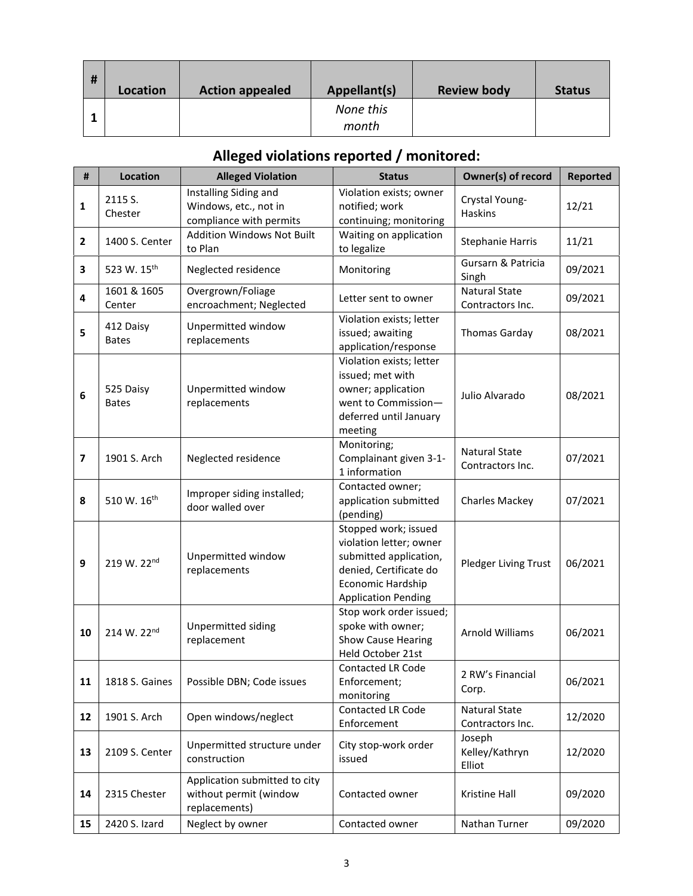| # | Location | <b>Action appealed</b> | Appellant(s)       | <b>Review body</b> | <b>Status</b> |
|---|----------|------------------------|--------------------|--------------------|---------------|
|   |          |                        | None this<br>month |                    |               |

## **Alleged violations reported / monitored:**

| #              | <b>Location</b>           | <b>Alleged Violation</b>                                                  | <b>Status</b>                                                                                                                                          | Owner(s) of record                       | <b>Reported</b> |
|----------------|---------------------------|---------------------------------------------------------------------------|--------------------------------------------------------------------------------------------------------------------------------------------------------|------------------------------------------|-----------------|
| 1              | 2115 S.<br>Chester        | Installing Siding and<br>Windows, etc., not in<br>compliance with permits | Violation exists; owner<br>notified; work<br>continuing; monitoring                                                                                    | Crystal Young-<br>Haskins                | 12/21           |
| $\mathbf{2}$   | 1400 S. Center            | <b>Addition Windows Not Built</b><br>to Plan                              | Waiting on application<br>to legalize                                                                                                                  | <b>Stephanie Harris</b>                  | 11/21           |
| 3              | 523 W. 15th               | Neglected residence                                                       | Monitoring                                                                                                                                             | Gursarn & Patricia<br>Singh              | 09/2021         |
| 4              | 1601 & 1605<br>Center     | Overgrown/Foliage<br>encroachment; Neglected                              | Letter sent to owner                                                                                                                                   | <b>Natural State</b><br>Contractors Inc. | 09/2021         |
| 5              | 412 Daisy<br><b>Bates</b> | Unpermitted window<br>replacements                                        | Violation exists; letter<br>issued; awaiting<br>application/response                                                                                   | <b>Thomas Garday</b>                     | 08/2021         |
| 6              | 525 Daisy<br><b>Bates</b> | Unpermitted window<br>replacements                                        | Violation exists; letter<br>issued; met with<br>owner; application<br>went to Commission-<br>deferred until January<br>meeting                         | Julio Alvarado                           | 08/2021         |
| $\overline{7}$ | 1901 S. Arch              | Neglected residence                                                       | Monitoring;<br>Complainant given 3-1-<br>1 information                                                                                                 | <b>Natural State</b><br>Contractors Inc. | 07/2021         |
| 8              | 510 W. 16th               | Improper siding installed;<br>door walled over                            | Contacted owner;<br>application submitted<br>(pending)                                                                                                 | Charles Mackey                           | 07/2021         |
| 9              | 219 W. 22nd               | Unpermitted window<br>replacements                                        | Stopped work; issued<br>violation letter; owner<br>submitted application,<br>denied, Certificate do<br>Economic Hardship<br><b>Application Pending</b> | Pledger Living Trust                     | 06/2021         |
| 10             | 214 W. 22nd               | Unpermitted siding<br>replacement                                         | Stop work order issued;<br>spoke with owner;<br><b>Show Cause Hearing</b><br>Held October 21st                                                         | Arnold Williams                          | 06/2021         |
| 11             | 1818 S. Gaines            | Possible DBN; Code issues                                                 | <b>Contacted LR Code</b><br>Enforcement;<br>monitoring                                                                                                 | 2 RW's Financial<br>Corp.                | 06/2021         |
| 12             | 1901 S. Arch              | Open windows/neglect                                                      | Contacted LR Code<br>Enforcement                                                                                                                       | Natural State<br>Contractors Inc.        | 12/2020         |
| 13             | 2109 S. Center            | Unpermitted structure under<br>construction                               | City stop-work order<br>issued                                                                                                                         | Joseph<br>Kelley/Kathryn<br>Elliot       | 12/2020         |
| 14             | 2315 Chester              | Application submitted to city<br>without permit (window<br>replacements)  | Contacted owner                                                                                                                                        | Kristine Hall                            | 09/2020         |
| 15             | 2420 S. Izard             | Neglect by owner                                                          | Contacted owner                                                                                                                                        | Nathan Turner                            | 09/2020         |